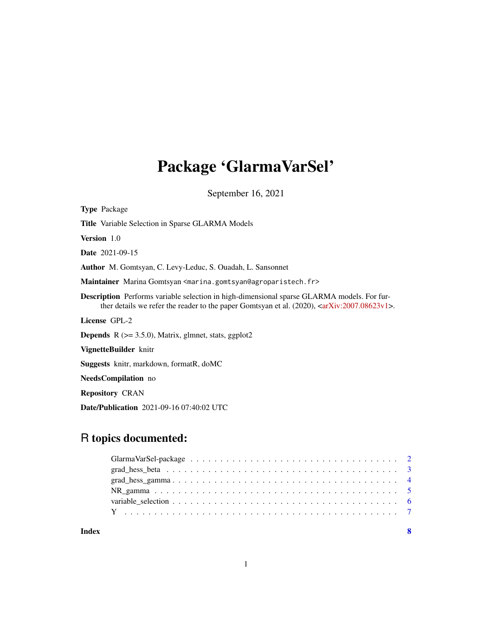# Package 'GlarmaVarSel'

September 16, 2021

| <b>Type Package</b>                                                                                                                                                                                                         |
|-----------------------------------------------------------------------------------------------------------------------------------------------------------------------------------------------------------------------------|
| <b>Title</b> Variable Selection in Sparse GLARMA Models                                                                                                                                                                     |
| <b>Version</b> 1.0                                                                                                                                                                                                          |
| <b>Date</b> 2021-09-15                                                                                                                                                                                                      |
| <b>Author</b> M. Gomtsyan, C. Levy-Leduc, S. Ouadah, L. Sansonnet                                                                                                                                                           |
| Maintainer Marina Gomtsyan <marina.gomtsyan@agroparistech.fr></marina.gomtsyan@agroparistech.fr>                                                                                                                            |
| <b>Description</b> Performs variable selection in high-dimensional sparse GLARMA models. For fur-<br>ther details we refer the reader to the paper Gomtsyan et al. $(2020)$ , $\langle \text{arXiv:} 2007.08623v \rangle$ . |
| License GPL-2                                                                                                                                                                                                               |
| <b>Depends</b> $R$ ( $>= 3.5.0$ ), Matrix, glmnet, stats, ggplot2                                                                                                                                                           |
| VignetteBuilder knitr                                                                                                                                                                                                       |
| Suggests knitr, markdown, formatR, doMC                                                                                                                                                                                     |
| NeedsCompilation no                                                                                                                                                                                                         |
| <b>Repository CRAN</b>                                                                                                                                                                                                      |

Date/Publication 2021-09-16 07:40:02 UTC

# R topics documented:

| Index |  |
|-------|--|
|       |  |
|       |  |
|       |  |
|       |  |
|       |  |
|       |  |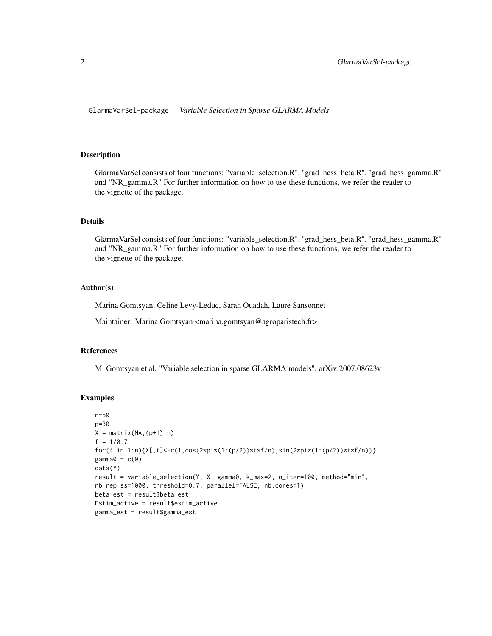<span id="page-1-0"></span>GlarmaVarSel-package *Variable Selection in Sparse GLARMA Models*

# Description

GlarmaVarSel consists of four functions: "variable\_selection.R", "grad\_hess\_beta.R", "grad\_hess\_gamma.R" and "NR\_gamma.R" For further information on how to use these functions, we refer the reader to the vignette of the package.

#### Details

GlarmaVarSel consists of four functions: "variable\_selection.R", "grad\_hess\_beta.R", "grad\_hess\_gamma.R" and "NR\_gamma.R" For further information on how to use these functions, we refer the reader to the vignette of the package.

#### Author(s)

Marina Gomtsyan, Celine Levy-Leduc, Sarah Ouadah, Laure Sansonnet

Maintainer: Marina Gomtsyan <marina.gomtsyan@agroparistech.fr>

#### References

M. Gomtsyan et al. "Variable selection in sparse GLARMA models", arXiv:2007.08623v1

```
n=50
p=30
X = matrix(NA,(p+1),n)f = 1/0.7for(t in 1:n){X[,t]<-c(1,cos(2*pi*(1:(p/2))*t*f/n),sin(2*pi*(1:(p/2))*t*f/n))}
gamma@ = c@data(Y)
result = variable_selection(Y, X, gamma0, k_max=2, n_iter=100, method="min",
nb_rep_ss=1000, threshold=0.7, parallel=FALSE, nb.cores=1)
beta_est = result$beta_est
Estim_active = result$estim_active
gamma_est = result$gamma_est
```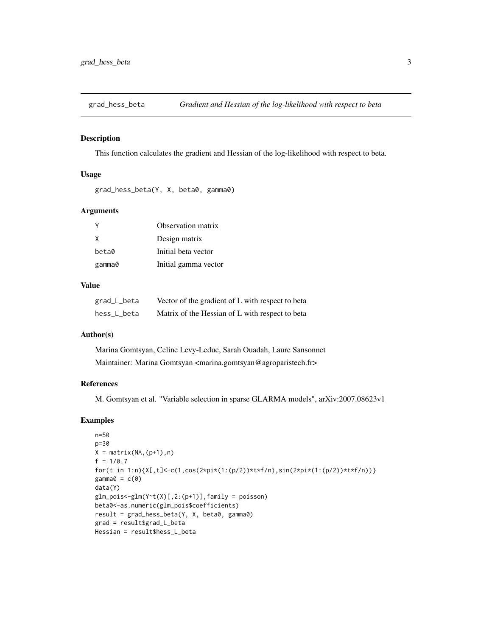<span id="page-2-0"></span>

This function calculates the gradient and Hessian of the log-likelihood with respect to beta.

#### Usage

grad\_hess\_beta(Y, X, beta0, gamma0)

# Arguments

| Y      | Observation matrix   |
|--------|----------------------|
| X      | Design matrix        |
| beta0  | Initial beta vector  |
| gamma0 | Initial gamma vector |

#### Value

| grad_L_beta | Vector of the gradient of L with respect to beta |
|-------------|--------------------------------------------------|
| hess_L_beta | Matrix of the Hessian of L with respect to beta  |

#### Author(s)

Marina Gomtsyan, Celine Levy-Leduc, Sarah Ouadah, Laure Sansonnet Maintainer: Marina Gomtsyan <marina.gomtsyan@agroparistech.fr>

#### References

M. Gomtsyan et al. "Variable selection in sparse GLARMA models", arXiv:2007.08623v1

```
n=50
p=30
X = matrix(NA,(p+1),n)f = 1/0.7for(t in 1:n){X[,t]<-c(1,cos(2*pi*(1:(p/2))*t*f/n),sin(2*pi*(1:(p/2))*t*f/n))}
gamma@ = c@data(Y)
glm\_pois < -glm(Y^rt(X)[,2:(p+1)], family = poisson)
beta0<-as.numeric(glm_pois$coefficients)
result = grad_hess_beta(Y, X, beta0, gamma0)
grad = result$grad_L_beta
Hessian = result$hess_L_beta
```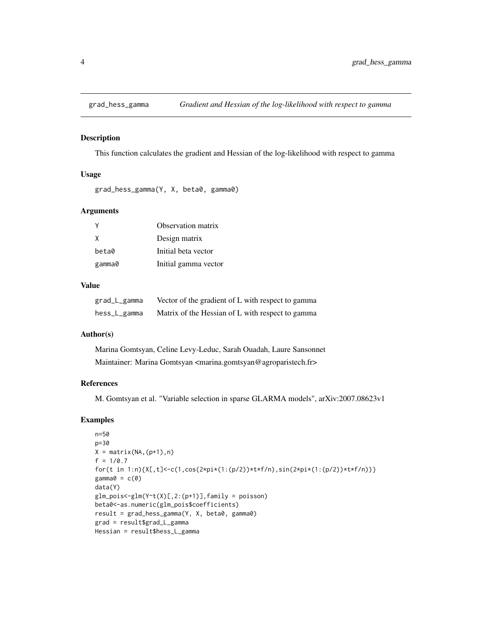<span id="page-3-0"></span>

This function calculates the gradient and Hessian of the log-likelihood with respect to gamma

#### Usage

grad\_hess\_gamma(Y, X, beta0, gamma0)

#### Arguments

| Y      | Observation matrix   |
|--------|----------------------|
| X      | Design matrix        |
| beta0  | Initial beta vector  |
| gamma0 | Initial gamma vector |

#### Value

| grad_L_gamma | Vector of the gradient of L with respect to gamma |
|--------------|---------------------------------------------------|
| hess_L_gamma | Matrix of the Hessian of L with respect to gamma  |

#### Author(s)

Marina Gomtsyan, Celine Levy-Leduc, Sarah Ouadah, Laure Sansonnet Maintainer: Marina Gomtsyan <marina.gomtsyan@agroparistech.fr>

#### References

M. Gomtsyan et al. "Variable selection in sparse GLARMA models", arXiv:2007.08623v1

```
n=50
p=30
X = matrix(NA,(p+1),n)f = 1/0.7for(t in 1:n){X[,t]<-c(1,cos(2*pi*(1:(p/2))*t*f/n),sin(2*pi*(1:(p/2))*t*f/n))}
gamma@ = c@data(Y)
glm_pois < -glm(Y^rt(X)[,2:(p+1)], family = poisson)
beta0<-as.numeric(glm_pois$coefficients)
result = grad_hess_gamma(Y, X, beta0, gamma0)
grad = result$grad_L_gamma
Hessian = result$hess_L_gamma
```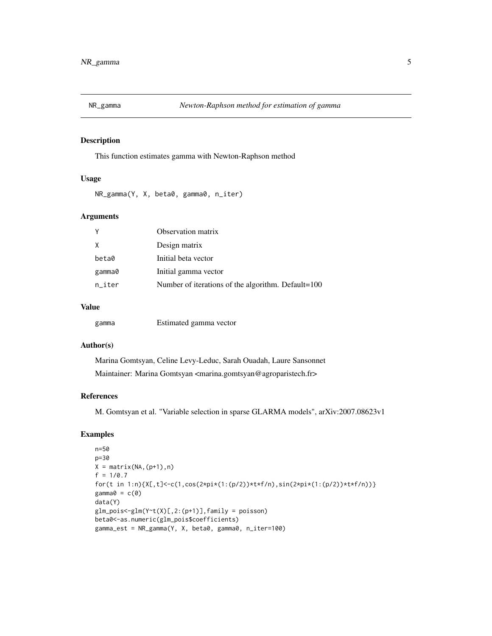<span id="page-4-0"></span>

This function estimates gamma with Newton-Raphson method

#### Usage

NR\_gamma(Y, X, beta0, gamma0, n\_iter)

### Arguments

|        | Observation matrix                                 |
|--------|----------------------------------------------------|
| X      | Design matrix                                      |
| beta0  | Initial beta vector                                |
| gamma0 | Initial gamma vector                               |
| n iter | Number of iterations of the algorithm. Default=100 |
|        |                                                    |

#### Value

| gamma | Estimated gamma vector |
|-------|------------------------|
|-------|------------------------|

#### Author(s)

Marina Gomtsyan, Celine Levy-Leduc, Sarah Ouadah, Laure Sansonnet Maintainer: Marina Gomtsyan <marina.gomtsyan@agroparistech.fr>

#### References

M. Gomtsyan et al. "Variable selection in sparse GLARMA models", arXiv:2007.08623v1

```
n=50
p=30
X = matrix(NA,(p+1),n)f = 1/0.7for(t in 1:n){X[,t]<-c(1,cos(2*pi*(1:(p/2))*t*f/n),sin(2*pi*(1:(p/2))*t*f/n))}
gamma@ = c@data(Y)
glm\_pois < -glm(Y^rt(X)[,2:(p+1)], family = poisson)
beta0<-as.numeric(glm_pois$coefficients)
gamma_est = NR_gamma(Y, X, beta0, gamma0, n_iter=100)
```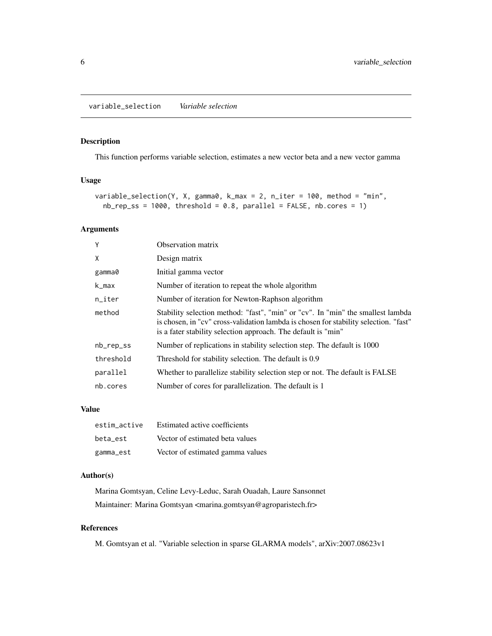<span id="page-5-0"></span>This function performs variable selection, estimates a new vector beta and a new vector gamma

#### Usage

```
variable_selection(Y, X, gamma0, k_max = 2, n_iter = 100, method = "min",
 nb_{prep}ss = 1000, threshold = 0.8, parallel = FALSE, nb.cores = 1)
```
# Arguments

| Y         | Observation matrix                                                                                                                                                                                                                       |
|-----------|------------------------------------------------------------------------------------------------------------------------------------------------------------------------------------------------------------------------------------------|
| Χ         | Design matrix                                                                                                                                                                                                                            |
| gamma0    | Initial gamma vector                                                                                                                                                                                                                     |
| k_max     | Number of iteration to repeat the whole algorithm                                                                                                                                                                                        |
| $n$ _iter | Number of iteration for Newton-Raphson algorithm                                                                                                                                                                                         |
| method    | Stability selection method: "fast", "min" or "cv". In "min" the smallest lambda<br>is chosen, in "cv" cross-validation lambda is chosen for stability selection. "fast"<br>is a fater stability selection approach. The default is "min" |
| nb_rep_ss | Number of replications in stability selection step. The default is 1000                                                                                                                                                                  |
| threshold | Threshold for stability selection. The default is 0.9                                                                                                                                                                                    |
| parallel  | Whether to parallelize stability selection step or not. The default is FALSE                                                                                                                                                             |
| nb.cores  | Number of cores for parallelization. The default is 1                                                                                                                                                                                    |

#### Value

| estim active | Estimated active coefficients    |
|--------------|----------------------------------|
| beta est     | Vector of estimated beta values  |
| gamma_est    | Vector of estimated gamma values |

# Author(s)

Marina Gomtsyan, Celine Levy-Leduc, Sarah Ouadah, Laure Sansonnet Maintainer: Marina Gomtsyan <marina.gomtsyan@agroparistech.fr>

#### References

M. Gomtsyan et al. "Variable selection in sparse GLARMA models", arXiv:2007.08623v1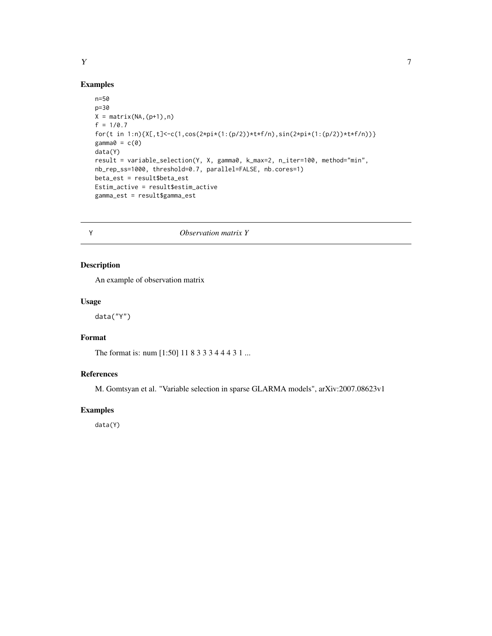#### Examples

```
n=50
p=30
X = matrix(NA,(p+1),n)f = 1/0.7for(t in 1:n){X[,t]<-c(1,cos(2*pi*(1:(p/2))*t*f/n),sin(2*pi*(1:(p/2))*t*f/n))}
gamma0 = c(0)data(Y)
result = variable_selection(Y, X, gamma0, k_max=2, n_iter=100, method="min",
nb_rep_ss=1000, threshold=0.7, parallel=FALSE, nb.cores=1)
beta_est = result$beta_est
Estim_active = result$estim_active
gamma_est = result$gamma_est
```
Y *Observation matrix Y*

# Description

An example of observation matrix

# Usage

data("Y")

# Format

The format is: num [1:50] 11 8 3 3 3 4 4 4 3 1 ...

# References

M. Gomtsyan et al. "Variable selection in sparse GLARMA models", arXiv:2007.08623v1

# Examples

data(Y)

# <span id="page-6-0"></span> $Y$  7